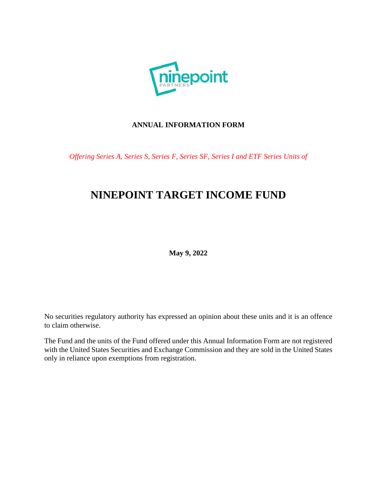

# **ANNUAL INFORMATION FORM**

*Offering Series A, Series S, Series F, Series SF, Series I and ETF Series Units of*

# **NINEPOINT TARGET INCOME FUND**

**May 9, 2022** 

No securities regulatory authority has expressed an opinion about these units and it is an offence to claim otherwise.

The Fund and the units of the Fund offered under this Annual Information Form are not registered with the United States Securities and Exchange Commission and they are sold in the United States only in reliance upon exemptions from registration.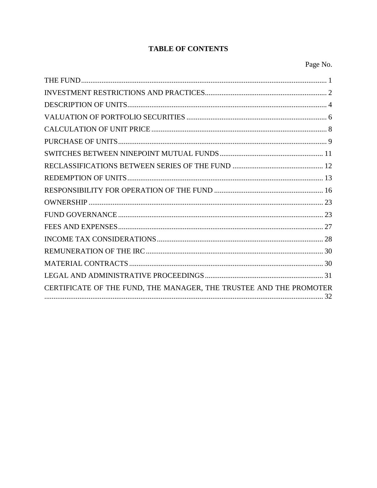# **TABLE OF CONTENTS**

| CERTIFICATE OF THE FUND, THE MANAGER, THE TRUSTEE AND THE PROMOTER |
|--------------------------------------------------------------------|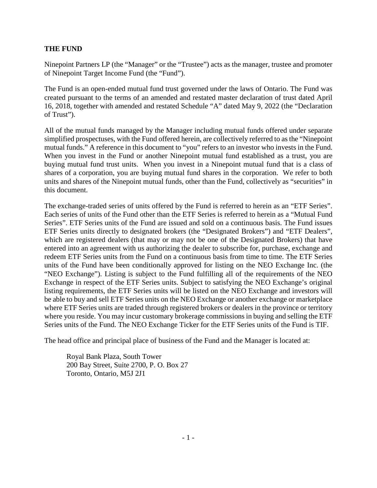### **THE FUND**

Ninepoint Partners LP (the "Manager" or the "Trustee") acts as the manager, trustee and promoter of Ninepoint Target Income Fund (the "Fund").

The Fund is an open-ended mutual fund trust governed under the laws of Ontario. The Fund was created pursuant to the terms of an amended and restated master declaration of trust dated April 16, 2018, together with amended and restated Schedule "A" dated May 9, 2022 (the "Declaration of Trust").

All of the mutual funds managed by the Manager including mutual funds offered under separate simplified prospectuses, with the Fund offered herein, are collectively referred to as the "Ninepoint mutual funds." A reference in this document to "you" refers to an investor who invests in the Fund. When you invest in the Fund or another Ninepoint mutual fund established as a trust, you are buying mutual fund trust units. When you invest in a Ninepoint mutual fund that is a class of shares of a corporation, you are buying mutual fund shares in the corporation. We refer to both units and shares of the Ninepoint mutual funds, other than the Fund, collectively as "securities" in this document.

The exchange-traded series of units offered by the Fund is referred to herein as an "ETF Series". Each series of units of the Fund other than the ETF Series is referred to herein as a "Mutual Fund Series". ETF Series units of the Fund are issued and sold on a continuous basis. The Fund issues ETF Series units directly to designated brokers (the "Designated Brokers") and "ETF Dealers", which are registered dealers (that may or may not be one of the Designated Brokers) that have entered into an agreement with us authorizing the dealer to subscribe for, purchase, exchange and redeem ETF Series units from the Fund on a continuous basis from time to time. The ETF Series units of the Fund have been conditionally approved for listing on the NEO Exchange Inc. (the "NEO Exchange"). Listing is subject to the Fund fulfilling all of the requirements of the NEO Exchange in respect of the ETF Series units. Subject to satisfying the NEO Exchange's original listing requirements, the ETF Series units will be listed on the NEO Exchange and investors will be able to buy and sell ETF Series units on the NEO Exchange or another exchange or marketplace where ETF Series units are traded through registered brokers or dealers in the province or territory where you reside. You may incur customary brokerage commissions in buying and selling the ETF Series units of the Fund. The NEO Exchange Ticker for the ETF Series units of the Fund is TIF.

The head office and principal place of business of the Fund and the Manager is located at:

Royal Bank Plaza, South Tower 200 Bay Street, Suite 2700, P. O. Box 27 Toronto, Ontario, M5J 2J1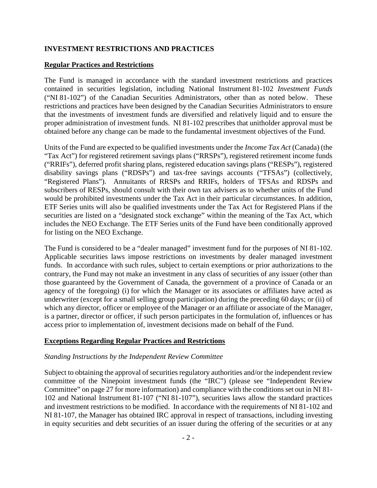### **INVESTMENT RESTRICTIONS AND PRACTICES**

#### **Regular Practices and Restrictions**

The Fund is managed in accordance with the standard investment restrictions and practices contained in securities legislation, including National Instrument 81-102 *Investment Funds* ("NI 81-102") of the Canadian Securities Administrators, other than as noted below. These restrictions and practices have been designed by the Canadian Securities Administrators to ensure that the investments of investment funds are diversified and relatively liquid and to ensure the proper administration of investment funds. NI 81-102 prescribes that unitholder approval must be obtained before any change can be made to the fundamental investment objectives of the Fund.

Units of the Fund are expected to be qualified investments under the *Income Tax Act* (Canada) (the "Tax Act") for registered retirement savings plans ("RRSPs"), registered retirement income funds ("RRIFs"), deferred profit sharing plans, registered education savings plans ("RESPs"), registered disability savings plans ("RDSPs") and tax-free savings accounts ("TFSAs") (collectively, "Registered Plans"). Annuitants of RRSPs and RRIFs, holders of TFSAs and RDSPs and subscribers of RESPs, should consult with their own tax advisers as to whether units of the Fund would be prohibited investments under the Tax Act in their particular circumstances. In addition, ETF Series units will also be qualified investments under the Tax Act for Registered Plans if the securities are listed on a "designated stock exchange" within the meaning of the Tax Act, which includes the NEO Exchange. The ETF Series units of the Fund have been conditionally approved for listing on the NEO Exchange.

The Fund is considered to be a "dealer managed" investment fund for the purposes of NI 81-102. Applicable securities laws impose restrictions on investments by dealer managed investment funds. In accordance with such rules, subject to certain exemptions or prior authorizations to the contrary, the Fund may not make an investment in any class of securities of any issuer (other than those guaranteed by the Government of Canada, the government of a province of Canada or an agency of the foregoing) (i) for which the Manager or its associates or affiliates have acted as underwriter (except for a small selling group participation) during the preceding 60 days; or (ii) of which any director, officer or employee of the Manager or an affiliate or associate of the Manager, is a partner, director or officer, if such person participates in the formulation of, influences or has access prior to implementation of, investment decisions made on behalf of the Fund.

#### **Exceptions Regarding Regular Practices and Restrictions**

#### *Standing Instructions by the Independent Review Committee*

Subject to obtaining the approval of securities regulatory authorities and/or the independent review committee of the Ninepoint investment funds (the "IRC") (please see "Independent Review Committee" on page 27 for more information) and compliance with the conditions set out in NI 81- 102 and National Instrument 81-107 ("NI 81-107"), securities laws allow the standard practices and investment restrictions to be modified. In accordance with the requirements of NI 81-102 and NI 81-107, the Manager has obtained IRC approval in respect of transactions, including investing in equity securities and debt securities of an issuer during the offering of the securities or at any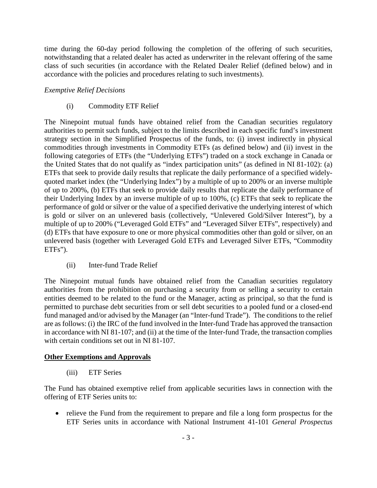time during the 60-day period following the completion of the offering of such securities, notwithstanding that a related dealer has acted as underwriter in the relevant offering of the same class of such securities (in accordance with the Related Dealer Relief (defined below) and in accordance with the policies and procedures relating to such investments).

# *Exemptive Relief Decisions*

# (i) Commodity ETF Relief

The Ninepoint mutual funds have obtained relief from the Canadian securities regulatory authorities to permit such funds, subject to the limits described in each specific fund's investment strategy section in the Simplified Prospectus of the funds, to: (i) invest indirectly in physical commodities through investments in Commodity ETFs (as defined below) and (ii) invest in the following categories of ETFs (the "Underlying ETFs") traded on a stock exchange in Canada or the United States that do not qualify as "index participation units" (as defined in NI 81-102): (a) ETFs that seek to provide daily results that replicate the daily performance of a specified widelyquoted market index (the "Underlying Index") by a multiple of up to 200% or an inverse multiple of up to 200%, (b) ETFs that seek to provide daily results that replicate the daily performance of their Underlying Index by an inverse multiple of up to 100%, (c) ETFs that seek to replicate the performance of gold or silver or the value of a specified derivative the underlying interest of which is gold or silver on an unlevered basis (collectively, "Unlevered Gold/Silver Interest"), by a multiple of up to 200% ("Leveraged Gold ETFs" and "Leveraged Silver ETFs", respectively) and (d) ETFs that have exposure to one or more physical commodities other than gold or silver, on an unlevered basis (together with Leveraged Gold ETFs and Leveraged Silver ETFs, "Commodity ETFs").

# (ii) Inter-fund Trade Relief

The Ninepoint mutual funds have obtained relief from the Canadian securities regulatory authorities from the prohibition on purchasing a security from or selling a security to certain entities deemed to be related to the fund or the Manager, acting as principal, so that the fund is permitted to purchase debt securities from or sell debt securities to a pooled fund or a closed-end fund managed and/or advised by the Manager (an "Inter-fund Trade"). The conditions to the relief are as follows: (i) the IRC of the fund involved in the Inter-fund Trade has approved the transaction in accordance with NI 81-107; and (ii) at the time of the Inter-fund Trade, the transaction complies with certain conditions set out in NI 81-107.

# **Other Exemptions and Approvals**

(iii) ETF Series

The Fund has obtained exemptive relief from applicable securities laws in connection with the offering of ETF Series units to:

• relieve the Fund from the requirement to prepare and file a long form prospectus for the ETF Series units in accordance with National Instrument 41-101 *General Prospectus*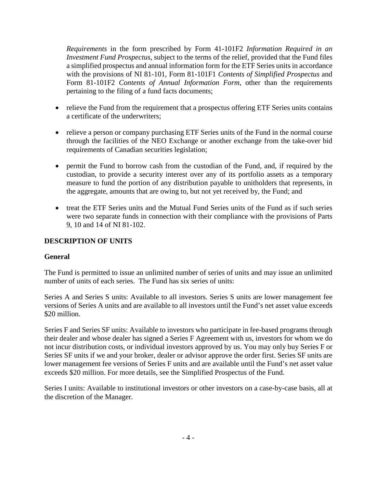*Requirements* in the form prescribed by Form 41-101F2 *Information Required in an Investment Fund Prospectus*, subject to the terms of the relief, provided that the Fund files a simplified prospectus and annual information form for the ETF Series units in accordance with the provisions of NI 81-101, Form 81-101F1 *Contents of Simplified Prospectus* and Form 81-101F2 *Contents of Annual Information Form*, other than the requirements pertaining to the filing of a fund facts documents;

- relieve the Fund from the requirement that a prospectus offering ETF Series units contains a certificate of the underwriters;
- relieve a person or company purchasing ETF Series units of the Fund in the normal course through the facilities of the NEO Exchange or another exchange from the take-over bid requirements of Canadian securities legislation;
- permit the Fund to borrow cash from the custodian of the Fund, and, if required by the custodian, to provide a security interest over any of its portfolio assets as a temporary measure to fund the portion of any distribution payable to unitholders that represents, in the aggregate, amounts that are owing to, but not yet received by, the Fund; and
- treat the ETF Series units and the Mutual Fund Series units of the Fund as if such series were two separate funds in connection with their compliance with the provisions of Parts 9, 10 and 14 of NI 81-102.

# **DESCRIPTION OF UNITS**

#### **General**

The Fund is permitted to issue an unlimited number of series of units and may issue an unlimited number of units of each series. The Fund has six series of units:

Series A and Series S units: Available to all investors. Series S units are lower management fee versions of Series A units and are available to all investors until the Fund's net asset value exceeds \$20 million.

Series F and Series SF units: Available to investors who participate in fee-based programs through their dealer and whose dealer has signed a Series F Agreement with us, investors for whom we do not incur distribution costs, or individual investors approved by us. You may only buy Series F or Series SF units if we and your broker, dealer or advisor approve the order first. Series SF units are lower management fee versions of Series F units and are available until the Fund's net asset value exceeds \$20 million. For more details, see the Simplified Prospectus of the Fund.

Series I units: Available to institutional investors or other investors on a case-by-case basis, all at the discretion of the Manager.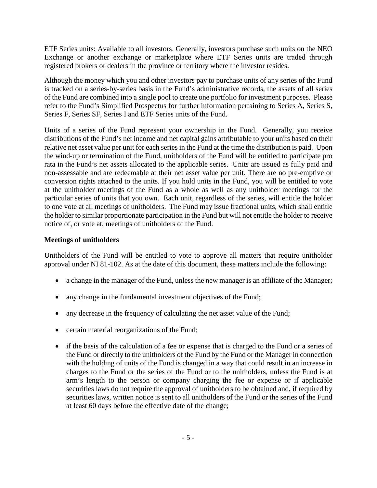ETF Series units: Available to all investors. Generally, investors purchase such units on the NEO Exchange or another exchange or marketplace where ETF Series units are traded through registered brokers or dealers in the province or territory where the investor resides.

Although the money which you and other investors pay to purchase units of any series of the Fund is tracked on a series-by-series basis in the Fund's administrative records, the assets of all series of the Fund are combined into a single pool to create one portfolio for investment purposes. Please refer to the Fund's Simplified Prospectus for further information pertaining to Series A, Series S, Series F, Series SF, Series I and ETF Series units of the Fund.

Units of a series of the Fund represent your ownership in the Fund. Generally, you receive distributions of the Fund's net income and net capital gains attributable to your units based on their relative net asset value per unit for each series in the Fund at the time the distribution is paid. Upon the wind-up or termination of the Fund, unitholders of the Fund will be entitled to participate pro rata in the Fund's net assets allocated to the applicable series. Units are issued as fully paid and non-assessable and are redeemable at their net asset value per unit. There are no pre-emptive or conversion rights attached to the units. If you hold units in the Fund, you will be entitled to vote at the unitholder meetings of the Fund as a whole as well as any unitholder meetings for the particular series of units that you own. Each unit, regardless of the series, will entitle the holder to one vote at all meetings of unitholders. The Fund may issue fractional units, which shall entitle the holder to similar proportionate participation in the Fund but will not entitle the holder to receive notice of, or vote at, meetings of unitholders of the Fund.

# **Meetings of unitholders**

Unitholders of the Fund will be entitled to vote to approve all matters that require unitholder approval under NI 81-102. As at the date of this document, these matters include the following:

- a change in the manager of the Fund, unless the new manager is an affiliate of the Manager;
- any change in the fundamental investment objectives of the Fund;
- any decrease in the frequency of calculating the net asset value of the Fund;
- certain material reorganizations of the Fund;
- if the basis of the calculation of a fee or expense that is charged to the Fund or a series of the Fund or directly to the unitholders of the Fund by the Fund or the Manager in connection with the holding of units of the Fund is changed in a way that could result in an increase in charges to the Fund or the series of the Fund or to the unitholders, unless the Fund is at arm's length to the person or company charging the fee or expense or if applicable securities laws do not require the approval of unitholders to be obtained and, if required by securities laws, written notice is sent to all unitholders of the Fund or the series of the Fund at least 60 days before the effective date of the change;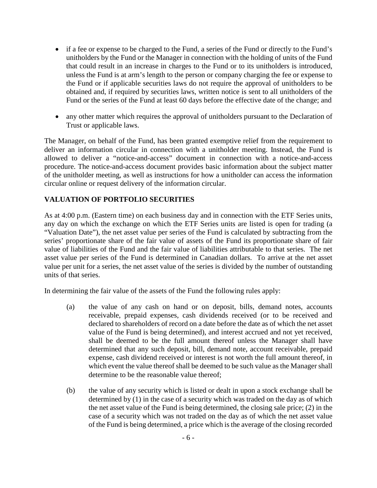- if a fee or expense to be charged to the Fund, a series of the Fund or directly to the Fund's unitholders by the Fund or the Manager in connection with the holding of units of the Fund that could result in an increase in charges to the Fund or to its unitholders is introduced, unless the Fund is at arm's length to the person or company charging the fee or expense to the Fund or if applicable securities laws do not require the approval of unitholders to be obtained and, if required by securities laws, written notice is sent to all unitholders of the Fund or the series of the Fund at least 60 days before the effective date of the change; and
- any other matter which requires the approval of unitholders pursuant to the Declaration of Trust or applicable laws.

The Manager, on behalf of the Fund, has been granted exemptive relief from the requirement to deliver an information circular in connection with a unitholder meeting. Instead, the Fund is allowed to deliver a "notice-and-access" document in connection with a notice-and-access procedure. The notice-and-access document provides basic information about the subject matter of the unitholder meeting, as well as instructions for how a unitholder can access the information circular online or request delivery of the information circular.

# **VALUATION OF PORTFOLIO SECURITIES**

As at 4:00 p.m. (Eastern time) on each business day and in connection with the ETF Series units, any day on which the exchange on which the ETF Series units are listed is open for trading (a "Valuation Date"), the net asset value per series of the Fund is calculated by subtracting from the series' proportionate share of the fair value of assets of the Fund its proportionate share of fair value of liabilities of the Fund and the fair value of liabilities attributable to that series. The net asset value per series of the Fund is determined in Canadian dollars. To arrive at the net asset value per unit for a series, the net asset value of the series is divided by the number of outstanding units of that series.

In determining the fair value of the assets of the Fund the following rules apply:

- (a) the value of any cash on hand or on deposit, bills, demand notes, accounts receivable, prepaid expenses, cash dividends received (or to be received and declared to shareholders of record on a date before the date as of which the net asset value of the Fund is being determined), and interest accrued and not yet received, shall be deemed to be the full amount thereof unless the Manager shall have determined that any such deposit, bill, demand note, account receivable, prepaid expense, cash dividend received or interest is not worth the full amount thereof, in which event the value thereof shall be deemed to be such value as the Manager shall determine to be the reasonable value thereof;
- (b) the value of any security which is listed or dealt in upon a stock exchange shall be determined by (1) in the case of a security which was traded on the day as of which the net asset value of the Fund is being determined, the closing sale price; (2) in the case of a security which was not traded on the day as of which the net asset value of the Fund is being determined, a price which is the average of the closing recorded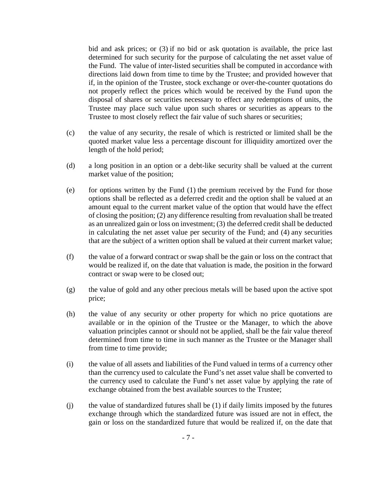bid and ask prices; or (3) if no bid or ask quotation is available, the price last determined for such security for the purpose of calculating the net asset value of the Fund. The value of inter-listed securities shall be computed in accordance with directions laid down from time to time by the Trustee; and provided however that if, in the opinion of the Trustee, stock exchange or over-the-counter quotations do not properly reflect the prices which would be received by the Fund upon the disposal of shares or securities necessary to effect any redemptions of units, the Trustee may place such value upon such shares or securities as appears to the Trustee to most closely reflect the fair value of such shares or securities;

- (c) the value of any security, the resale of which is restricted or limited shall be the quoted market value less a percentage discount for illiquidity amortized over the length of the hold period;
- (d) a long position in an option or a debt-like security shall be valued at the current market value of the position;
- (e) for options written by the Fund  $(1)$  the premium received by the Fund for those options shall be reflected as a deferred credit and the option shall be valued at an amount equal to the current market value of the option that would have the effect of closing the position; (2) any difference resulting from revaluation shall be treated as an unrealized gain or loss on investment; (3) the deferred credit shall be deducted in calculating the net asset value per security of the Fund; and (4) any securities that are the subject of a written option shall be valued at their current market value;
- (f) the value of a forward contract or swap shall be the gain or loss on the contract that would be realized if, on the date that valuation is made, the position in the forward contract or swap were to be closed out;
- (g) the value of gold and any other precious metals will be based upon the active spot price;
- (h) the value of any security or other property for which no price quotations are available or in the opinion of the Trustee or the Manager, to which the above valuation principles cannot or should not be applied, shall be the fair value thereof determined from time to time in such manner as the Trustee or the Manager shall from time to time provide;
- (i) the value of all assets and liabilities of the Fund valued in terms of a currency other than the currency used to calculate the Fund's net asset value shall be converted to the currency used to calculate the Fund's net asset value by applying the rate of exchange obtained from the best available sources to the Trustee;
- (j) the value of standardized futures shall be (1) if daily limits imposed by the futures exchange through which the standardized future was issued are not in effect, the gain or loss on the standardized future that would be realized if, on the date that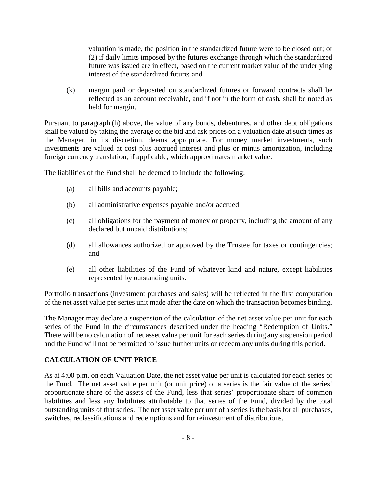valuation is made, the position in the standardized future were to be closed out; or (2) if daily limits imposed by the futures exchange through which the standardized future was issued are in effect, based on the current market value of the underlying interest of the standardized future; and

(k) margin paid or deposited on standardized futures or forward contracts shall be reflected as an account receivable, and if not in the form of cash, shall be noted as held for margin.

Pursuant to paragraph (h) above, the value of any bonds, debentures, and other debt obligations shall be valued by taking the average of the bid and ask prices on a valuation date at such times as the Manager, in its discretion, deems appropriate. For money market investments, such investments are valued at cost plus accrued interest and plus or minus amortization, including foreign currency translation, if applicable, which approximates market value.

The liabilities of the Fund shall be deemed to include the following:

- (a) all bills and accounts payable;
- (b) all administrative expenses payable and/or accrued;
- (c) all obligations for the payment of money or property, including the amount of any declared but unpaid distributions;
- (d) all allowances authorized or approved by the Trustee for taxes or contingencies; and
- (e) all other liabilities of the Fund of whatever kind and nature, except liabilities represented by outstanding units.

Portfolio transactions (investment purchases and sales) will be reflected in the first computation of the net asset value per series unit made after the date on which the transaction becomes binding.

The Manager may declare a suspension of the calculation of the net asset value per unit for each series of the Fund in the circumstances described under the heading "Redemption of Units." There will be no calculation of net asset value per unit for each series during any suspension period and the Fund will not be permitted to issue further units or redeem any units during this period.

# **CALCULATION OF UNIT PRICE**

As at 4:00 p.m. on each Valuation Date, the net asset value per unit is calculated for each series of the Fund. The net asset value per unit (or unit price) of a series is the fair value of the series' proportionate share of the assets of the Fund, less that series' proportionate share of common liabilities and less any liabilities attributable to that series of the Fund, divided by the total outstanding units of that series. The net asset value per unit of a series is the basis for all purchases, switches, reclassifications and redemptions and for reinvestment of distributions.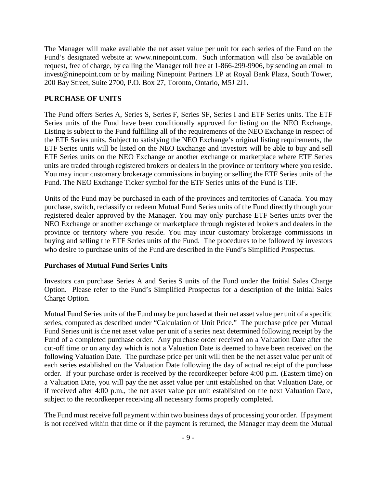The Manager will make available the net asset value per unit for each series of the Fund on the Fund's designated website at www.ninepoint.com. Such information will also be available on request, free of charge, by calling the Manager toll free at 1-866-299-9906, by sending an email to invest@ninepoint.com or by mailing Ninepoint Partners LP at Royal Bank Plaza, South Tower, 200 Bay Street, Suite 2700, P.O. Box 27, Toronto, Ontario, M5J 2J1.

#### **PURCHASE OF UNITS**

The Fund offers Series A, Series S, Series F, Series SF, Series I and ETF Series units. The ETF Series units of the Fund have been conditionally approved for listing on the NEO Exchange. Listing is subject to the Fund fulfilling all of the requirements of the NEO Exchange in respect of the ETF Series units. Subject to satisfying the NEO Exchange's original listing requirements, the ETF Series units will be listed on the NEO Exchange and investors will be able to buy and sell ETF Series units on the NEO Exchange or another exchange or marketplace where ETF Series units are traded through registered brokers or dealers in the province or territory where you reside. You may incur customary brokerage commissions in buying or selling the ETF Series units of the Fund. The NEO Exchange Ticker symbol for the ETF Series units of the Fund is TIF.

Units of the Fund may be purchased in each of the provinces and territories of Canada. You may purchase, switch, reclassify or redeem Mutual Fund Series units of the Fund directly through your registered dealer approved by the Manager. You may only purchase ETF Series units over the NEO Exchange or another exchange or marketplace through registered brokers and dealers in the province or territory where you reside. You may incur customary brokerage commissions in buying and selling the ETF Series units of the Fund. The procedures to be followed by investors who desire to purchase units of the Fund are described in the Fund's Simplified Prospectus.

#### **Purchases of Mutual Fund Series Units**

Investors can purchase Series A and Series S units of the Fund under the Initial Sales Charge Option. Please refer to the Fund's Simplified Prospectus for a description of the Initial Sales Charge Option.

Mutual Fund Series units of the Fund may be purchased at their net asset value per unit of a specific series, computed as described under "Calculation of Unit Price." The purchase price per Mutual Fund Series unit is the net asset value per unit of a series next determined following receipt by the Fund of a completed purchase order. Any purchase order received on a Valuation Date after the cut-off time or on any day which is not a Valuation Date is deemed to have been received on the following Valuation Date. The purchase price per unit will then be the net asset value per unit of each series established on the Valuation Date following the day of actual receipt of the purchase order. If your purchase order is received by the recordkeeper before 4:00 p.m. (Eastern time) on a Valuation Date, you will pay the net asset value per unit established on that Valuation Date, or if received after 4:00 p.m., the net asset value per unit established on the next Valuation Date, subject to the recordkeeper receiving all necessary forms properly completed.

The Fund must receive full payment within two business days of processing your order. If payment is not received within that time or if the payment is returned, the Manager may deem the Mutual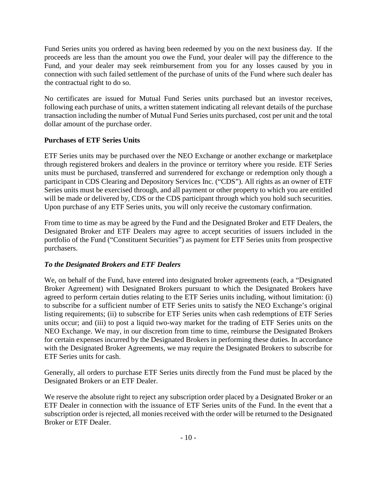Fund Series units you ordered as having been redeemed by you on the next business day. If the proceeds are less than the amount you owe the Fund, your dealer will pay the difference to the Fund, and your dealer may seek reimbursement from you for any losses caused by you in connection with such failed settlement of the purchase of units of the Fund where such dealer has the contractual right to do so.

No certificates are issued for Mutual Fund Series units purchased but an investor receives, following each purchase of units, a written statement indicating all relevant details of the purchase transaction including the number of Mutual Fund Series units purchased, cost per unit and the total dollar amount of the purchase order.

# **Purchases of ETF Series Units**

ETF Series units may be purchased over the NEO Exchange or another exchange or marketplace through registered brokers and dealers in the province or territory where you reside. ETF Series units must be purchased, transferred and surrendered for exchange or redemption only though a participant in CDS Clearing and Depository Services Inc. ("CDS"). All rights as an owner of ETF Series units must be exercised through, and all payment or other property to which you are entitled will be made or delivered by, CDS or the CDS participant through which you hold such securities. Upon purchase of any ETF Series units, you will only receive the customary confirmation.

From time to time as may be agreed by the Fund and the Designated Broker and ETF Dealers, the Designated Broker and ETF Dealers may agree to accept securities of issuers included in the portfolio of the Fund ("Constituent Securities") as payment for ETF Series units from prospective purchasers.

# *To the Designated Brokers and ETF Dealers*

We, on behalf of the Fund, have entered into designated broker agreements (each, a "Designated Broker Agreement) with Designated Brokers pursuant to which the Designated Brokers have agreed to perform certain duties relating to the ETF Series units including, without limitation: (i) to subscribe for a sufficient number of ETF Series units to satisfy the NEO Exchange's original listing requirements; (ii) to subscribe for ETF Series units when cash redemptions of ETF Series units occur; and (iii) to post a liquid two-way market for the trading of ETF Series units on the NEO Exchange. We may, in our discretion from time to time, reimburse the Designated Brokers for certain expenses incurred by the Designated Brokers in performing these duties. In accordance with the Designated Broker Agreements, we may require the Designated Brokers to subscribe for ETF Series units for cash.

Generally, all orders to purchase ETF Series units directly from the Fund must be placed by the Designated Brokers or an ETF Dealer.

We reserve the absolute right to reject any subscription order placed by a Designated Broker or an ETF Dealer in connection with the issuance of ETF Series units of the Fund. In the event that a subscription order is rejected, all monies received with the order will be returned to the Designated Broker or ETF Dealer.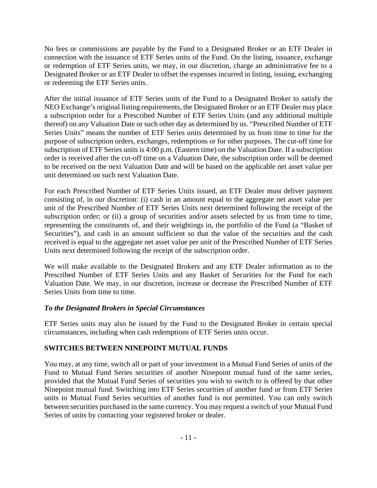No fees or commissions are payable by the Fund to a Designated Broker or an ETF Dealer in connection with the issuance of ETF Series units of the Fund. On the listing, issuance, exchange or redemption of ETF Series units, we may, in our discretion, charge an administrative fee to a Designated Broker or an ETF Dealer to offset the expenses incurred in listing, issuing, exchanging or redeeming the ETF Series units.

After the initial issuance of ETF Series units of the Fund to a Designated Broker to satisfy the NEO Exchange's original listing requirements, the Designated Broker or an ETF Dealer may place a subscription order for a Prescribed Number of ETF Series Units (and any additional multiple thereof) on any Valuation Date or such other day as determined by us. "Prescribed Number of ETF Series Units" means the number of ETF Series units determined by us from time to time for the purpose of subscription orders, exchanges, redemptions or for other purposes. The cut-off time for subscription of ETF Series units is 4:00 p.m. (Eastern time) on the Valuation Date. If a subscription order is received after the cut-off time on a Valuation Date, the subscription order will be deemed to be received on the next Valuation Date and will be based on the applicable net asset value per unit determined on such next Valuation Date.

For each Prescribed Number of ETF Series Units issued, an ETF Dealer must deliver payment consisting of, in our discretion: (i) cash in an amount equal to the aggregate net asset value per unit of the Prescribed Number of ETF Series Units next determined following the receipt of the subscription order; or (ii) a group of securities and/or assets selected by us from time to time, representing the constituents of, and their weightings in, the portfolio of the Fund (a "Basket of Securities"), and cash in an amount sufficient so that the value of the securities and the cash received is equal to the aggregate net asset value per unit of the Prescribed Number of ETF Series Units next determined following the receipt of the subscription order.

We will make available to the Designated Brokers and any ETF Dealer information as to the Prescribed Number of ETF Series Units and any Basket of Securities for the Fund for each Valuation Date. We may, in our discretion, increase or decrease the Prescribed Number of ETF Series Units from time to time.

# *To the Designated Brokers in Special Circumstances*

ETF Series units may also be issued by the Fund to the Designated Broker in certain special circumstances, including when cash redemptions of ETF Series units occur.

# **SWITCHES BETWEEN NINEPOINT MUTUAL FUNDS**

You may, at any time, switch all or part of your investment in a Mutual Fund Series of units of the Fund to Mutual Fund Series securities of another Ninepoint mutual fund of the same series, provided that the Mutual Fund Series of securities you wish to switch to is offered by that other Ninepoint mutual fund. Switching into ETF Series securities of another fund or from ETF Series units to Mutual Fund Series securities of another fund is not permitted. You can only switch between securities purchased in the same currency. You may request a switch of your Mutual Fund Series of units by contacting your registered broker or dealer.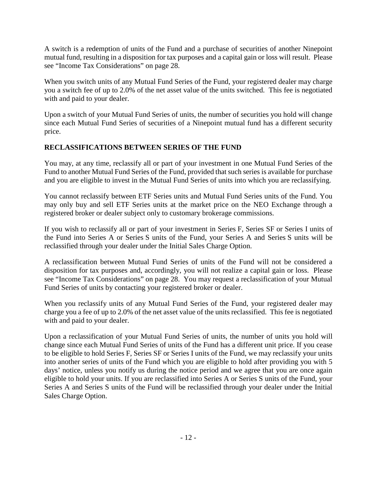A switch is a redemption of units of the Fund and a purchase of securities of another Ninepoint mutual fund, resulting in a disposition for tax purposes and a capital gain or loss will result. Please see "Income Tax Considerations" on page 28.

When you switch units of any Mutual Fund Series of the Fund, your registered dealer may charge you a switch fee of up to 2.0% of the net asset value of the units switched. This fee is negotiated with and paid to your dealer.

Upon a switch of your Mutual Fund Series of units, the number of securities you hold will change since each Mutual Fund Series of securities of a Ninepoint mutual fund has a different security price.

# **RECLASSIFICATIONS BETWEEN SERIES OF THE FUND**

You may, at any time, reclassify all or part of your investment in one Mutual Fund Series of the Fund to another Mutual Fund Series of the Fund, provided that such series is available for purchase and you are eligible to invest in the Mutual Fund Series of units into which you are reclassifying.

You cannot reclassify between ETF Series units and Mutual Fund Series units of the Fund. You may only buy and sell ETF Series units at the market price on the NEO Exchange through a registered broker or dealer subject only to customary brokerage commissions.

If you wish to reclassify all or part of your investment in Series F, Series SF or Series I units of the Fund into Series A or Series S units of the Fund, your Series A and Series S units will be reclassified through your dealer under the Initial Sales Charge Option.

A reclassification between Mutual Fund Series of units of the Fund will not be considered a disposition for tax purposes and, accordingly, you will not realize a capital gain or loss. Please see "Income Tax Considerations" on page 28. You may request a reclassification of your Mutual Fund Series of units by contacting your registered broker or dealer.

When you reclassify units of any Mutual Fund Series of the Fund, your registered dealer may charge you a fee of up to 2.0% of the net asset value of the units reclassified. This fee is negotiated with and paid to your dealer.

Upon a reclassification of your Mutual Fund Series of units, the number of units you hold will change since each Mutual Fund Series of units of the Fund has a different unit price. If you cease to be eligible to hold Series F, Series SF or Series I units of the Fund, we may reclassify your units into another series of units of the Fund which you are eligible to hold after providing you with 5 days' notice, unless you notify us during the notice period and we agree that you are once again eligible to hold your units. If you are reclassified into Series A or Series S units of the Fund, your Series A and Series S units of the Fund will be reclassified through your dealer under the Initial Sales Charge Option.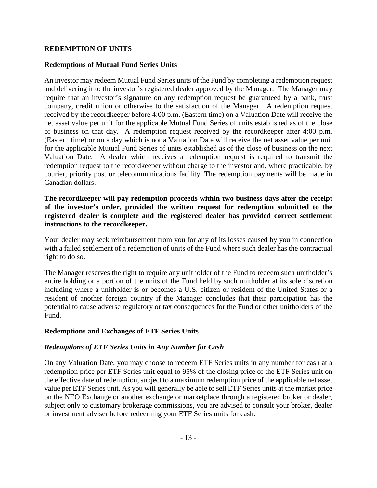#### **REDEMPTION OF UNITS**

#### **Redemptions of Mutual Fund Series Units**

An investor may redeem Mutual Fund Series units of the Fund by completing a redemption request and delivering it to the investor's registered dealer approved by the Manager. The Manager may require that an investor's signature on any redemption request be guaranteed by a bank, trust company, credit union or otherwise to the satisfaction of the Manager. A redemption request received by the recordkeeper before 4:00 p.m. (Eastern time) on a Valuation Date will receive the net asset value per unit for the applicable Mutual Fund Series of units established as of the close of business on that day. A redemption request received by the recordkeeper after 4:00 p.m. (Eastern time) or on a day which is not a Valuation Date will receive the net asset value per unit for the applicable Mutual Fund Series of units established as of the close of business on the next Valuation Date. A dealer which receives a redemption request is required to transmit the redemption request to the recordkeeper without charge to the investor and, where practicable, by courier, priority post or telecommunications facility. The redemption payments will be made in Canadian dollars.

**The recordkeeper will pay redemption proceeds within two business days after the receipt of the investor's order, provided the written request for redemption submitted to the registered dealer is complete and the registered dealer has provided correct settlement instructions to the recordkeeper.** 

Your dealer may seek reimbursement from you for any of its losses caused by you in connection with a failed settlement of a redemption of units of the Fund where such dealer has the contractual right to do so.

The Manager reserves the right to require any unitholder of the Fund to redeem such unitholder's entire holding or a portion of the units of the Fund held by such unitholder at its sole discretion including where a unitholder is or becomes a U.S. citizen or resident of the United States or a resident of another foreign country if the Manager concludes that their participation has the potential to cause adverse regulatory or tax consequences for the Fund or other unitholders of the Fund.

#### **Redemptions and Exchanges of ETF Series Units**

#### *Redemptions of ETF Series Units in Any Number for Cash*

On any Valuation Date, you may choose to redeem ETF Series units in any number for cash at a redemption price per ETF Series unit equal to 95% of the closing price of the ETF Series unit on the effective date of redemption, subject to a maximum redemption price of the applicable net asset value per ETF Series unit. As you will generally be able to sell ETF Series units at the market price on the NEO Exchange or another exchange or marketplace through a registered broker or dealer, subject only to customary brokerage commissions, you are advised to consult your broker, dealer or investment adviser before redeeming your ETF Series units for cash.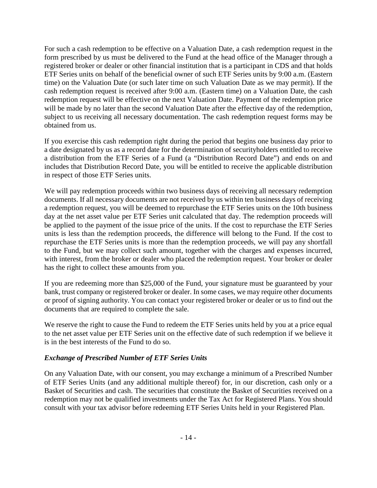For such a cash redemption to be effective on a Valuation Date, a cash redemption request in the form prescribed by us must be delivered to the Fund at the head office of the Manager through a registered broker or dealer or other financial institution that is a participant in CDS and that holds ETF Series units on behalf of the beneficial owner of such ETF Series units by 9:00 a.m. (Eastern time) on the Valuation Date (or such later time on such Valuation Date as we may permit). If the cash redemption request is received after 9:00 a.m. (Eastern time) on a Valuation Date, the cash redemption request will be effective on the next Valuation Date. Payment of the redemption price will be made by no later than the second Valuation Date after the effective day of the redemption, subject to us receiving all necessary documentation. The cash redemption request forms may be obtained from us.

If you exercise this cash redemption right during the period that begins one business day prior to a date designated by us as a record date for the determination of securityholders entitled to receive a distribution from the ETF Series of a Fund (a "Distribution Record Date") and ends on and includes that Distribution Record Date, you will be entitled to receive the applicable distribution in respect of those ETF Series units.

We will pay redemption proceeds within two business days of receiving all necessary redemption documents. If all necessary documents are not received by us within ten business days of receiving a redemption request, you will be deemed to repurchase the ETF Series units on the 10th business day at the net asset value per ETF Series unit calculated that day. The redemption proceeds will be applied to the payment of the issue price of the units. If the cost to repurchase the ETF Series units is less than the redemption proceeds, the difference will belong to the Fund. If the cost to repurchase the ETF Series units is more than the redemption proceeds, we will pay any shortfall to the Fund, but we may collect such amount, together with the charges and expenses incurred, with interest, from the broker or dealer who placed the redemption request. Your broker or dealer has the right to collect these amounts from you.

If you are redeeming more than \$25,000 of the Fund, your signature must be guaranteed by your bank, trust company or registered broker or dealer. In some cases, we may require other documents or proof of signing authority. You can contact your registered broker or dealer or us to find out the documents that are required to complete the sale.

We reserve the right to cause the Fund to redeem the ETF Series units held by you at a price equal to the net asset value per ETF Series unit on the effective date of such redemption if we believe it is in the best interests of the Fund to do so.

# *Exchange of Prescribed Number of ETF Series Units*

On any Valuation Date, with our consent, you may exchange a minimum of a Prescribed Number of ETF Series Units (and any additional multiple thereof) for, in our discretion, cash only or a Basket of Securities and cash. The securities that constitute the Basket of Securities received on a redemption may not be qualified investments under the Tax Act for Registered Plans. You should consult with your tax advisor before redeeming ETF Series Units held in your Registered Plan.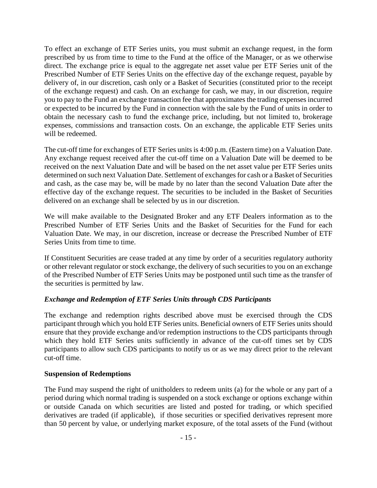To effect an exchange of ETF Series units, you must submit an exchange request, in the form prescribed by us from time to time to the Fund at the office of the Manager, or as we otherwise direct. The exchange price is equal to the aggregate net asset value per ETF Series unit of the Prescribed Number of ETF Series Units on the effective day of the exchange request, payable by delivery of, in our discretion, cash only or a Basket of Securities (constituted prior to the receipt of the exchange request) and cash. On an exchange for cash, we may, in our discretion, require you to pay to the Fund an exchange transaction fee that approximates the trading expenses incurred or expected to be incurred by the Fund in connection with the sale by the Fund of units in order to obtain the necessary cash to fund the exchange price, including, but not limited to, brokerage expenses, commissions and transaction costs. On an exchange, the applicable ETF Series units will be redeemed.

The cut-off time for exchanges of ETF Series units is 4:00 p.m. (Eastern time) on a Valuation Date. Any exchange request received after the cut-off time on a Valuation Date will be deemed to be received on the next Valuation Date and will be based on the net asset value per ETF Series units determined on such next Valuation Date. Settlement of exchanges for cash or a Basket of Securities and cash, as the case may be, will be made by no later than the second Valuation Date after the effective day of the exchange request. The securities to be included in the Basket of Securities delivered on an exchange shall be selected by us in our discretion.

We will make available to the Designated Broker and any ETF Dealers information as to the Prescribed Number of ETF Series Units and the Basket of Securities for the Fund for each Valuation Date. We may, in our discretion, increase or decrease the Prescribed Number of ETF Series Units from time to time.

If Constituent Securities are cease traded at any time by order of a securities regulatory authority or other relevant regulator or stock exchange, the delivery of such securities to you on an exchange of the Prescribed Number of ETF Series Units may be postponed until such time as the transfer of the securities is permitted by law.

# *Exchange and Redemption of ETF Series Units through CDS Participants*

The exchange and redemption rights described above must be exercised through the CDS participant through which you hold ETF Series units. Beneficial owners of ETF Series units should ensure that they provide exchange and/or redemption instructions to the CDS participants through which they hold ETF Series units sufficiently in advance of the cut-off times set by CDS participants to allow such CDS participants to notify us or as we may direct prior to the relevant cut-off time.

#### **Suspension of Redemptions**

The Fund may suspend the right of unitholders to redeem units (a) for the whole or any part of a period during which normal trading is suspended on a stock exchange or options exchange within or outside Canada on which securities are listed and posted for trading, or which specified derivatives are traded (if applicable), if those securities or specified derivatives represent more than 50 percent by value, or underlying market exposure, of the total assets of the Fund (without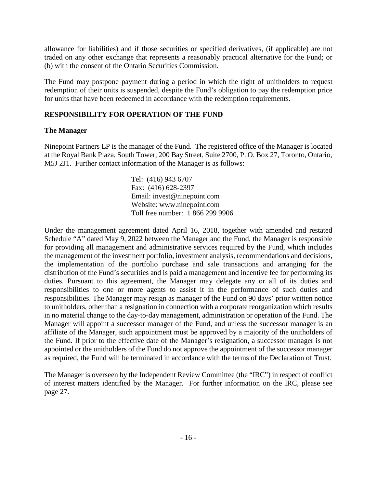allowance for liabilities) and if those securities or specified derivatives, (if applicable) are not traded on any other exchange that represents a reasonably practical alternative for the Fund; or (b) with the consent of the Ontario Securities Commission.

The Fund may postpone payment during a period in which the right of unitholders to request redemption of their units is suspended, despite the Fund's obligation to pay the redemption price for units that have been redeemed in accordance with the redemption requirements.

# **RESPONSIBILITY FOR OPERATION OF THE FUND**

# **The Manager**

Ninepoint Partners LP is the manager of the Fund. The registered office of the Manager is located at the Royal Bank Plaza, South Tower, 200 Bay Street, Suite 2700, P. O. Box 27, Toronto, Ontario, M5J 2J1. Further contact information of the Manager is as follows:

> Tel: (416) 943 6707 Fax: (416) 628-2397 Email: invest@ninepoint.com Website: www.ninepoint.com Toll free number: 1 866 299 9906

Under the management agreement dated April 16, 2018, together with amended and restated Schedule "A" dated May 9, 2022 between the Manager and the Fund, the Manager is responsible for providing all management and administrative services required by the Fund, which includes the management of the investment portfolio, investment analysis, recommendations and decisions, the implementation of the portfolio purchase and sale transactions and arranging for the distribution of the Fund's securities and is paid a management and incentive fee for performing its duties. Pursuant to this agreement, the Manager may delegate any or all of its duties and responsibilities to one or more agents to assist it in the performance of such duties and responsibilities. The Manager may resign as manager of the Fund on 90 days' prior written notice to unitholders, other than a resignation in connection with a corporate reorganization which results in no material change to the day-to-day management, administration or operation of the Fund. The Manager will appoint a successor manager of the Fund, and unless the successor manager is an affiliate of the Manager, such appointment must be approved by a majority of the unitholders of the Fund. If prior to the effective date of the Manager's resignation, a successor manager is not appointed or the unitholders of the Fund do not approve the appointment of the successor manager as required, the Fund will be terminated in accordance with the terms of the Declaration of Trust.

The Manager is overseen by the Independent Review Committee (the "IRC") in respect of conflict of interest matters identified by the Manager. For further information on the IRC, please see page 27.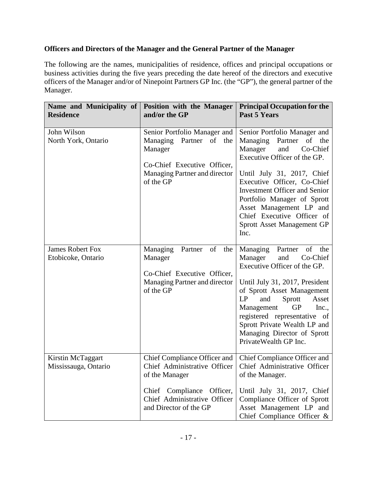# **Officers and Directors of the Manager and the General Partner of the Manager**

The following are the names, municipalities of residence, offices and principal occupations or business activities during the five years preceding the date hereof of the directors and executive officers of the Manager and/or of Ninepoint Partners GP Inc. (the "GP"), the general partner of the Manager.

| Name and Municipality of<br><b>Residence</b>  | Position with the Manager<br>and/or the GP                                                                                                                            | <b>Principal Occupation for the</b><br><b>Past 5 Years</b>                                                                                                                                                                                                                                                                                                     |
|-----------------------------------------------|-----------------------------------------------------------------------------------------------------------------------------------------------------------------------|----------------------------------------------------------------------------------------------------------------------------------------------------------------------------------------------------------------------------------------------------------------------------------------------------------------------------------------------------------------|
| John Wilson<br>North York, Ontario            | Senior Portfolio Manager and<br>Managing Partner of the<br>Manager<br>Co-Chief Executive Officer,<br>Managing Partner and director<br>of the GP                       | Senior Portfolio Manager and<br>of the<br>Managing<br>Partner<br>Manager<br>Co-Chief<br>and<br>Executive Officer of the GP.<br>Until July 31, 2017, Chief<br>Executive Officer, Co-Chief<br><b>Investment Officer and Senior</b><br>Portfolio Manager of Sprott<br>Asset Management LP and<br>Chief Executive Officer of<br>Sprott Asset Management GP<br>Inc. |
| <b>James Robert Fox</b><br>Etobicoke, Ontario | Managing<br>Partner of<br>the<br>Manager<br>Co-Chief Executive Officer,<br>Managing Partner and director<br>of the GP                                                 | Managing<br>Partner<br>of the<br>Manager<br>Co-Chief<br>and<br>Executive Officer of the GP.<br>Until July 31, 2017, President<br>of Sprott Asset Management<br>and<br>Sprott<br>LP<br>Asset<br>Management<br><b>GP</b><br>Inc.,<br>registered representative of<br>Sprott Private Wealth LP and<br>Managing Director of Sprott<br>PrivateWealth GP Inc.        |
| Kirstin McTaggart<br>Mississauga, Ontario     | Chief Compliance Officer and<br>Chief Administrative Officer<br>of the Manager<br>Chief Compliance Officer,<br>Chief Administrative Officer<br>and Director of the GP | Chief Compliance Officer and<br>Chief Administrative Officer<br>of the Manager.<br>Until July 31, 2017, Chief<br>Compliance Officer of Sprott<br>Asset Management LP and<br>Chief Compliance Officer $\&$                                                                                                                                                      |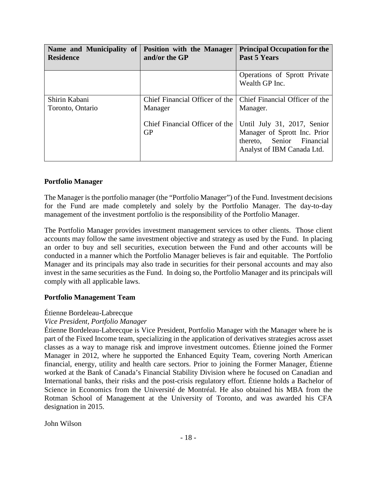| <b>Residence</b>                  | Name and Municipality of Position with the Manager<br>and/or the GP | <b>Principal Occupation for the</b><br>Past 5 Years                                                                    |
|-----------------------------------|---------------------------------------------------------------------|------------------------------------------------------------------------------------------------------------------------|
|                                   |                                                                     | Operations of Sprott Private<br>Wealth GP Inc.                                                                         |
| Shirin Kabani<br>Toronto, Ontario | Chief Financial Officer of the<br>Manager                           | Chief Financial Officer of the<br>Manager.                                                                             |
|                                   | Chief Financial Officer of the<br><b>GP</b>                         | Until July 31, 2017, Senior<br>Manager of Sprott Inc. Prior<br>thereto, Senior Financial<br>Analyst of IBM Canada Ltd. |

### **Portfolio Manager**

The Manager is the portfolio manager (the "Portfolio Manager") of the Fund. Investment decisions for the Fund are made completely and solely by the Portfolio Manager. The day-to-day management of the investment portfolio is the responsibility of the Portfolio Manager.

The Portfolio Manager provides investment management services to other clients. Those client accounts may follow the same investment objective and strategy as used by the Fund. In placing an order to buy and sell securities, execution between the Fund and other accounts will be conducted in a manner which the Portfolio Manager believes is fair and equitable. The Portfolio Manager and its principals may also trade in securities for their personal accounts and may also invest in the same securities as the Fund. In doing so, the Portfolio Manager and its principals will comply with all applicable laws.

#### **Portfolio Management Team**

#### Étienne Bordeleau-Labrecque

#### *Vice President, Portfolio Manager*

Étienne Bordeleau-Labrecque is Vice President, Portfolio Manager with the Manager where he is part of the Fixed Income team, specializing in the application of derivatives strategies across asset classes as a way to manage risk and improve investment outcomes. Étienne joined the Former Manager in 2012, where he supported the Enhanced Equity Team, covering North American financial, energy, utility and health care sectors. Prior to joining the Former Manager, Étienne worked at the Bank of Canada's Financial Stability Division where he focused on Canadian and International banks, their risks and the post-crisis regulatory effort. Étienne holds a Bachelor of Science in Economics from the Université de Montréal. He also obtained his MBA from the Rotman School of Management at the University of Toronto, and was awarded his CFA designation in 2015.

John Wilson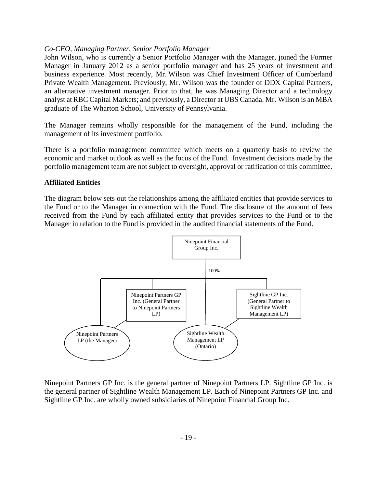#### *Co-CEO, Managing Partner, Senior Portfolio Manager*

John Wilson, who is currently a Senior Portfolio Manager with the Manager, joined the Former Manager in January 2012 as a senior portfolio manager and has 25 years of investment and business experience. Most recently, Mr. Wilson was Chief Investment Officer of Cumberland Private Wealth Management. Previously, Mr. Wilson was the founder of DDX Capital Partners, an alternative investment manager. Prior to that, he was Managing Director and a technology analyst at RBC Capital Markets; and previously, a Director at UBS Canada. Mr. Wilson is an MBA graduate of The Wharton School, University of Pennsylvania.

The Manager remains wholly responsible for the management of the Fund, including the management of its investment portfolio.

There is a portfolio management committee which meets on a quarterly basis to review the economic and market outlook as well as the focus of the Fund. Investment decisions made by the portfolio management team are not subject to oversight, approval or ratification of this committee.

#### **Affiliated Entities**

The diagram below sets out the relationships among the affiliated entities that provide services to the Fund or to the Manager in connection with the Fund. The disclosure of the amount of fees received from the Fund by each affiliated entity that provides services to the Fund or to the Manager in relation to the Fund is provided in the audited financial statements of the Fund.



Ninepoint Partners GP Inc. is the general partner of Ninepoint Partners LP. Sightline GP Inc. is the general partner of Sightline Wealth Management LP. Each of Ninepoint Partners GP Inc. and Sightline GP Inc. are wholly owned subsidiaries of Ninepoint Financial Group Inc.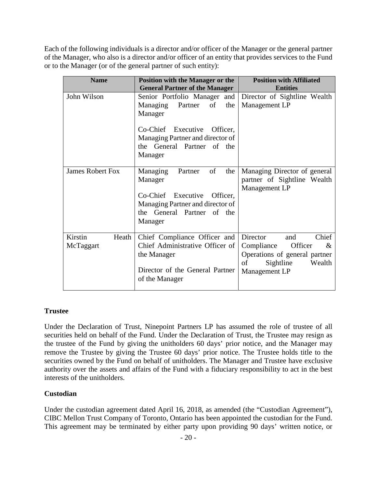Each of the following individuals is a director and/or officer of the Manager or the general partner of the Manager, who also is a director and/or officer of an entity that provides services to the Fund or to the Manager (or of the general partner of such entity):

| <b>Name</b>                   | <b>Position with the Manager or the</b>                                                                                                                       | <b>Position with Affiliated</b>                                                                                                          |
|-------------------------------|---------------------------------------------------------------------------------------------------------------------------------------------------------------|------------------------------------------------------------------------------------------------------------------------------------------|
|                               | <b>General Partner of the Manager</b>                                                                                                                         | <b>Entities</b>                                                                                                                          |
| John Wilson                   | Senior Portfolio Manager and<br>Partner<br>of<br>the<br>Managing<br>Manager                                                                                   | Director of Sightline Wealth<br>Management LP                                                                                            |
|                               | Co-Chief Executive Officer,<br>Managing Partner and director of<br>the General Partner of the<br>Manager                                                      |                                                                                                                                          |
| <b>James Robert Fox</b>       | of<br>the<br>Managing<br>Partner<br>Manager<br>Executive<br>Co-Chief<br>Officer,<br>Managing Partner and director of<br>the General Partner of the<br>Manager | Managing Director of general<br>partner of Sightline Wealth<br>Management LP                                                             |
| Kirstin<br>Heath<br>McTaggart | Chief Compliance Officer and<br>Chief Administrative Officer of<br>the Manager<br>Director of the General Partner<br>of the Manager                           | Chief<br>Director<br>and<br>Officer<br>Compliance<br>$\&$<br>Operations of general partner<br>Sightline<br>of<br>Wealth<br>Management LP |

# **Trustee**

Under the Declaration of Trust, Ninepoint Partners LP has assumed the role of trustee of all securities held on behalf of the Fund. Under the Declaration of Trust, the Trustee may resign as the trustee of the Fund by giving the unitholders 60 days' prior notice, and the Manager may remove the Trustee by giving the Trustee 60 days' prior notice. The Trustee holds title to the securities owned by the Fund on behalf of unitholders. The Manager and Trustee have exclusive authority over the assets and affairs of the Fund with a fiduciary responsibility to act in the best interests of the unitholders.

# **Custodian**

Under the custodian agreement dated April 16, 2018, as amended (the "Custodian Agreement"), CIBC Mellon Trust Company of Toronto, Ontario has been appointed the custodian for the Fund. This agreement may be terminated by either party upon providing 90 days' written notice, or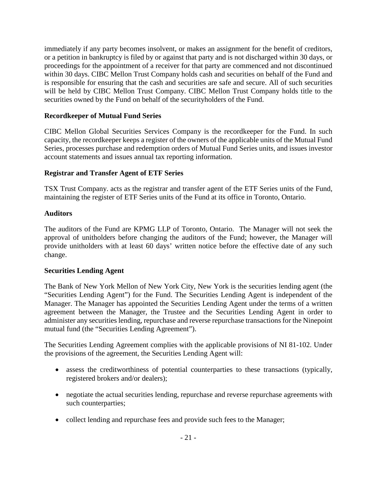immediately if any party becomes insolvent, or makes an assignment for the benefit of creditors, or a petition in bankruptcy is filed by or against that party and is not discharged within 30 days, or proceedings for the appointment of a receiver for that party are commenced and not discontinued within 30 days. CIBC Mellon Trust Company holds cash and securities on behalf of the Fund and is responsible for ensuring that the cash and securities are safe and secure. All of such securities will be held by CIBC Mellon Trust Company. CIBC Mellon Trust Company holds title to the securities owned by the Fund on behalf of the securityholders of the Fund.

# **Recordkeeper of Mutual Fund Series**

CIBC Mellon Global Securities Services Company is the recordkeeper for the Fund. In such capacity, the recordkeeper keeps a register of the owners of the applicable units of the Mutual Fund Series, processes purchase and redemption orders of Mutual Fund Series units, and issues investor account statements and issues annual tax reporting information.

# **Registrar and Transfer Agent of ETF Series**

TSX Trust Company. acts as the registrar and transfer agent of the ETF Series units of the Fund, maintaining the register of ETF Series units of the Fund at its office in Toronto, Ontario.

# **Auditors**

The auditors of the Fund are KPMG LLP of Toronto, Ontario. The Manager will not seek the approval of unitholders before changing the auditors of the Fund; however, the Manager will provide unitholders with at least 60 days' written notice before the effective date of any such change.

# **Securities Lending Agent**

The Bank of New York Mellon of New York City, New York is the securities lending agent (the "Securities Lending Agent") for the Fund. The Securities Lending Agent is independent of the Manager. The Manager has appointed the Securities Lending Agent under the terms of a written agreement between the Manager, the Trustee and the Securities Lending Agent in order to administer any securities lending, repurchase and reverse repurchase transactions for the Ninepoint mutual fund (the "Securities Lending Agreement").

The Securities Lending Agreement complies with the applicable provisions of NI 81-102. Under the provisions of the agreement, the Securities Lending Agent will:

- assess the creditworthiness of potential counterparties to these transactions (typically, registered brokers and/or dealers);
- negotiate the actual securities lending, repurchase and reverse repurchase agreements with such counterparties;
- collect lending and repurchase fees and provide such fees to the Manager;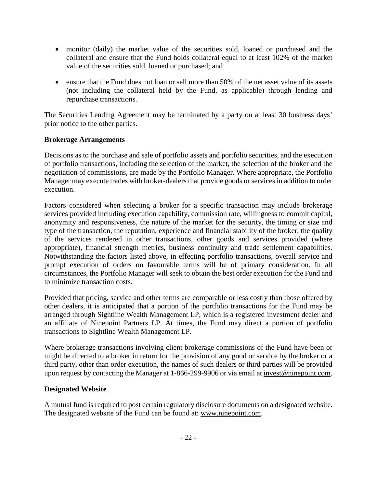- monitor (daily) the market value of the securities sold, loaned or purchased and the collateral and ensure that the Fund holds collateral equal to at least 102% of the market value of the securities sold, loaned or purchased; and
- ensure that the Fund does not loan or sell more than 50% of the net asset value of its assets (not including the collateral held by the Fund, as applicable) through lending and repurchase transactions.

The Securities Lending Agreement may be terminated by a party on at least 30 business days' prior notice to the other parties.

# **Brokerage Arrangements**

Decisions as to the purchase and sale of portfolio assets and portfolio securities, and the execution of portfolio transactions, including the selection of the market, the selection of the broker and the negotiation of commissions, are made by the Portfolio Manager. Where appropriate, the Portfolio Manager may execute trades with broker-dealers that provide goods or services in addition to order execution.

Factors considered when selecting a broker for a specific transaction may include brokerage services provided including execution capability, commission rate, willingness to commit capital, anonymity and responsiveness, the nature of the market for the security, the timing or size and type of the transaction, the reputation, experience and financial stability of the broker, the quality of the services rendered in other transactions, other goods and services provided (where appropriate), financial strength metrics, business continuity and trade settlement capabilities. Notwithstanding the factors listed above, in effecting portfolio transactions, overall service and prompt execution of orders on favourable terms will be of primary consideration. In all circumstances, the Portfolio Manager will seek to obtain the best order execution for the Fund and to minimize transaction costs.

Provided that pricing, service and other terms are comparable or less costly than those offered by other dealers, it is anticipated that a portion of the portfolio transactions for the Fund may be arranged through Sightline Wealth Management LP, which is a registered investment dealer and an affiliate of Ninepoint Partners LP. At times, the Fund may direct a portion of portfolio transactions to Sightline Wealth Management LP.

Where brokerage transactions involving client brokerage commissions of the Fund have been or might be directed to a broker in return for the provision of any good or service by the broker or a third party, other than order execution, the names of such dealers or third parties will be provided upon request by contacting the Manager at 1-866-299-9906 or via email at invest@ninepoint.com.

# **Designated Website**

A mutual fund is required to post certain regulatory disclosure documents on a designated website. The designated website of the Fund can be found at: www.ninepoint.com.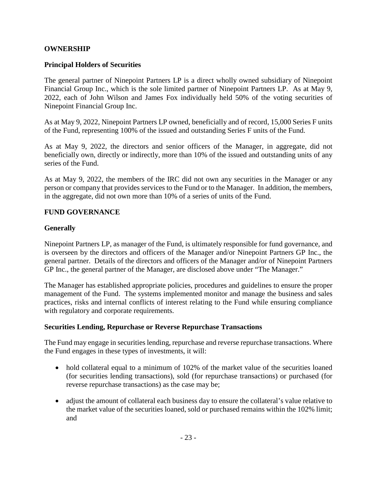### **OWNERSHIP**

#### **Principal Holders of Securities**

The general partner of Ninepoint Partners LP is a direct wholly owned subsidiary of Ninepoint Financial Group Inc., which is the sole limited partner of Ninepoint Partners LP. As at May 9, 2022, each of John Wilson and James Fox individually held 50% of the voting securities of Ninepoint Financial Group Inc.

As at May 9, 2022, Ninepoint Partners LP owned, beneficially and of record, 15,000 Series F units of the Fund, representing 100% of the issued and outstanding Series F units of the Fund.

As at May 9, 2022, the directors and senior officers of the Manager, in aggregate, did not beneficially own, directly or indirectly, more than 10% of the issued and outstanding units of any series of the Fund.

As at May 9, 2022, the members of the IRC did not own any securities in the Manager or any person or company that provides services to the Fund or to the Manager. In addition, the members, in the aggregate, did not own more than 10% of a series of units of the Fund.

#### **FUND GOVERNANCE**

### **Generally**

Ninepoint Partners LP, as manager of the Fund, is ultimately responsible for fund governance, and is overseen by the directors and officers of the Manager and/or Ninepoint Partners GP Inc., the general partner. Details of the directors and officers of the Manager and/or of Ninepoint Partners GP Inc., the general partner of the Manager, are disclosed above under "The Manager."

The Manager has established appropriate policies, procedures and guidelines to ensure the proper management of the Fund. The systems implemented monitor and manage the business and sales practices, risks and internal conflicts of interest relating to the Fund while ensuring compliance with regulatory and corporate requirements.

#### **Securities Lending, Repurchase or Reverse Repurchase Transactions**

The Fund may engage in securities lending, repurchase and reverse repurchase transactions. Where the Fund engages in these types of investments, it will:

- hold collateral equal to a minimum of 102% of the market value of the securities loaned (for securities lending transactions), sold (for repurchase transactions) or purchased (for reverse repurchase transactions) as the case may be;
- adjust the amount of collateral each business day to ensure the collateral's value relative to the market value of the securities loaned, sold or purchased remains within the 102% limit; and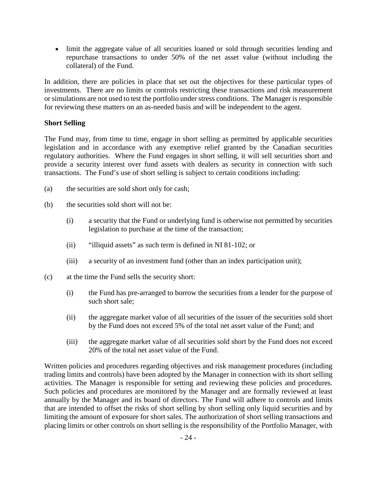limit the aggregate value of all securities loaned or sold through securities lending and repurchase transactions to under 50% of the net asset value (without including the collateral) of the Fund.

In addition, there are policies in place that set out the objectives for these particular types of investments. There are no limits or controls restricting these transactions and risk measurement or simulations are not used to test the portfolio under stress conditions. The Manager is responsible for reviewing these matters on an as-needed basis and will be independent to the agent.

# **Short Selling**

The Fund may, from time to time, engage in short selling as permitted by applicable securities legislation and in accordance with any exemptive relief granted by the Canadian securities regulatory authorities. Where the Fund engages in short selling, it will sell securities short and provide a security interest over fund assets with dealers as security in connection with such transactions. The Fund's use of short selling is subject to certain conditions including:

- (a) the securities are sold short only for cash;
- (b) the securities sold short will not be:
	- (i) a security that the Fund or underlying fund is otherwise not permitted by securities legislation to purchase at the time of the transaction;
	- (ii) "illiquid assets" as such term is defined in NI 81-102; or
	- (iii) a security of an investment fund (other than an index participation unit);
- (c) at the time the Fund sells the security short:
	- (i) the Fund has pre-arranged to borrow the securities from a lender for the purpose of such short sale;
	- (ii) the aggregate market value of all securities of the issuer of the securities sold short by the Fund does not exceed 5% of the total net asset value of the Fund; and
	- (iii) the aggregate market value of all securities sold short by the Fund does not exceed 20% of the total net asset value of the Fund.

Written policies and procedures regarding objectives and risk management procedures (including trading limits and controls) have been adopted by the Manager in connection with its short selling activities. The Manager is responsible for setting and reviewing these policies and procedures. Such policies and procedures are monitored by the Manager and are formally reviewed at least annually by the Manager and its board of directors. The Fund will adhere to controls and limits that are intended to offset the risks of short selling by short selling only liquid securities and by limiting the amount of exposure for short sales. The authorization of short selling transactions and placing limits or other controls on short selling is the responsibility of the Portfolio Manager, with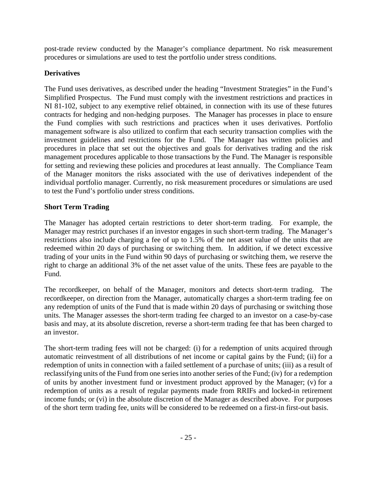post-trade review conducted by the Manager's compliance department. No risk measurement procedures or simulations are used to test the portfolio under stress conditions.

# **Derivatives**

The Fund uses derivatives, as described under the heading "Investment Strategies" in the Fund's Simplified Prospectus. The Fund must comply with the investment restrictions and practices in NI 81-102, subject to any exemptive relief obtained, in connection with its use of these futures contracts for hedging and non-hedging purposes. The Manager has processes in place to ensure the Fund complies with such restrictions and practices when it uses derivatives. Portfolio management software is also utilized to confirm that each security transaction complies with the investment guidelines and restrictions for the Fund. The Manager has written policies and procedures in place that set out the objectives and goals for derivatives trading and the risk management procedures applicable to those transactions by the Fund. The Manager is responsible for setting and reviewing these policies and procedures at least annually. The Compliance Team of the Manager monitors the risks associated with the use of derivatives independent of the individual portfolio manager. Currently, no risk measurement procedures or simulations are used to test the Fund's portfolio under stress conditions.

# **Short Term Trading**

The Manager has adopted certain restrictions to deter short-term trading. For example, the Manager may restrict purchases if an investor engages in such short-term trading. The Manager's restrictions also include charging a fee of up to 1.5% of the net asset value of the units that are redeemed within 20 days of purchasing or switching them. In addition, if we detect excessive trading of your units in the Fund within 90 days of purchasing or switching them, we reserve the right to charge an additional 3% of the net asset value of the units. These fees are payable to the Fund.

The recordkeeper, on behalf of the Manager, monitors and detects short-term trading. The recordkeeper, on direction from the Manager, automatically charges a short-term trading fee on any redemption of units of the Fund that is made within 20 days of purchasing or switching those units. The Manager assesses the short-term trading fee charged to an investor on a case-by-case basis and may, at its absolute discretion, reverse a short-term trading fee that has been charged to an investor.

The short-term trading fees will not be charged: (i) for a redemption of units acquired through automatic reinvestment of all distributions of net income or capital gains by the Fund; (ii) for a redemption of units in connection with a failed settlement of a purchase of units; (iii) as a result of reclassifying units of the Fund from one series into another series of the Fund; (iv) for a redemption of units by another investment fund or investment product approved by the Manager; (v) for a redemption of units as a result of regular payments made from RRIFs and locked-in retirement income funds; or (vi) in the absolute discretion of the Manager as described above. For purposes of the short term trading fee, units will be considered to be redeemed on a first-in first-out basis.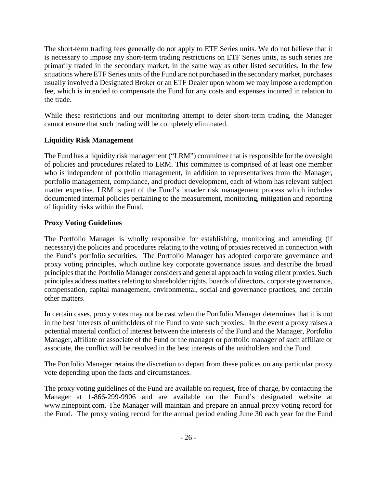The short-term trading fees generally do not apply to ETF Series units. We do not believe that it is necessary to impose any short-term trading restrictions on ETF Series units, as such series are primarily traded in the secondary market, in the same way as other listed securities. In the few situations where ETF Series units of the Fund are not purchased in the secondary market, purchases usually involved a Designated Broker or an ETF Dealer upon whom we may impose a redemption fee, which is intended to compensate the Fund for any costs and expenses incurred in relation to the trade.

While these restrictions and our monitoring attempt to deter short-term trading, the Manager cannot ensure that such trading will be completely eliminated.

# **Liquidity Risk Management**

The Fund has a liquidity risk management ("LRM") committee that is responsible for the oversight of policies and procedures related to LRM. This committee is comprised of at least one member who is independent of portfolio management, in addition to representatives from the Manager, portfolio management, compliance, and product development, each of whom has relevant subject matter expertise. LRM is part of the Fund's broader risk management process which includes documented internal policies pertaining to the measurement, monitoring, mitigation and reporting of liquidity risks within the Fund.

# **Proxy Voting Guidelines**

The Portfolio Manager is wholly responsible for establishing, monitoring and amending (if necessary) the policies and procedures relating to the voting of proxies received in connection with the Fund's portfolio securities. The Portfolio Manager has adopted corporate governance and proxy voting principles, which outline key corporate governance issues and describe the broad principles that the Portfolio Manager considers and general approach in voting client proxies. Such principles address matters relating to shareholder rights, boards of directors, corporate governance, compensation, capital management, environmental, social and governance practices, and certain other matters.

In certain cases, proxy votes may not be cast when the Portfolio Manager determines that it is not in the best interests of unitholders of the Fund to vote such proxies. In the event a proxy raises a potential material conflict of interest between the interests of the Fund and the Manager, Portfolio Manager, affiliate or associate of the Fund or the manager or portfolio manager of such affiliate or associate, the conflict will be resolved in the best interests of the unitholders and the Fund.

The Portfolio Manager retains the discretion to depart from these polices on any particular proxy vote depending upon the facts and circumstances.

The proxy voting guidelines of the Fund are available on request, free of charge, by contacting the Manager at 1-866-299-9906 and are available on the Fund's designated website at www.ninepoint.com. The Manager will maintain and prepare an annual proxy voting record for the Fund. The proxy voting record for the annual period ending June 30 each year for the Fund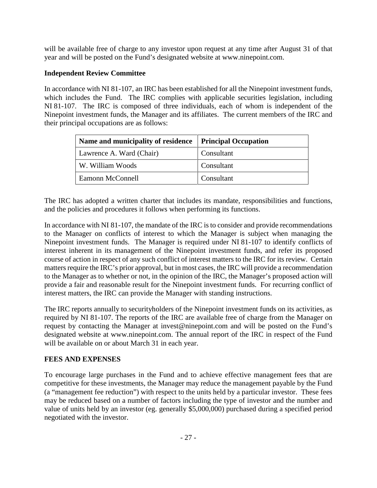will be available free of charge to any investor upon request at any time after August 31 of that year and will be posted on the Fund's designated website at www.ninepoint.com.

# **Independent Review Committee**

In accordance with NI 81-107, an IRC has been established for all the Ninepoint investment funds, which includes the Fund. The IRC complies with applicable securities legislation, including NI 81-107. The IRC is composed of three individuals, each of whom is independent of the Ninepoint investment funds, the Manager and its affiliates. The current members of the IRC and their principal occupations are as follows:

| Name and municipality of residence | <b>Principal Occupation</b> |
|------------------------------------|-----------------------------|
| Lawrence A. Ward (Chair)           | Consultant                  |
| W. William Woods                   | Consultant                  |
| Eamonn McConnell                   | Consultant                  |

The IRC has adopted a written charter that includes its mandate, responsibilities and functions, and the policies and procedures it follows when performing its functions.

In accordance with NI 81-107, the mandate of the IRC is to consider and provide recommendations to the Manager on conflicts of interest to which the Manager is subject when managing the Ninepoint investment funds. The Manager is required under NI 81-107 to identify conflicts of interest inherent in its management of the Ninepoint investment funds, and refer its proposed course of action in respect of any such conflict of interest matters to the IRC for its review. Certain matters require the IRC's prior approval, but in most cases, the IRC will provide a recommendation to the Manager as to whether or not, in the opinion of the IRC, the Manager's proposed action will provide a fair and reasonable result for the Ninepoint investment funds. For recurring conflict of interest matters, the IRC can provide the Manager with standing instructions.

The IRC reports annually to securityholders of the Ninepoint investment funds on its activities, as required by NI 81-107. The reports of the IRC are available free of charge from the Manager on request by contacting the Manager at invest@ninepoint.com and will be posted on the Fund's designated website at www.ninepoint.com. The annual report of the IRC in respect of the Fund will be available on or about March 31 in each year.

# **FEES AND EXPENSES**

To encourage large purchases in the Fund and to achieve effective management fees that are competitive for these investments, the Manager may reduce the management payable by the Fund (a "management fee reduction") with respect to the units held by a particular investor. These fees may be reduced based on a number of factors including the type of investor and the number and value of units held by an investor (eg. generally \$5,000,000) purchased during a specified period negotiated with the investor.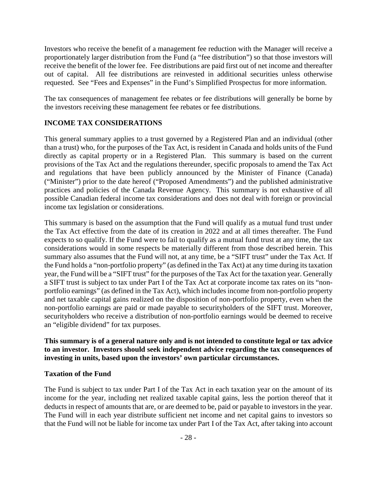Investors who receive the benefit of a management fee reduction with the Manager will receive a proportionately larger distribution from the Fund (a "fee distribution") so that those investors will receive the benefit of the lower fee. Fee distributions are paid first out of net income and thereafter out of capital. All fee distributions are reinvested in additional securities unless otherwise requested. See "Fees and Expenses" in the Fund's Simplified Prospectus for more information.

The tax consequences of management fee rebates or fee distributions will generally be borne by the investors receiving these management fee rebates or fee distributions.

# **INCOME TAX CONSIDERATIONS**

This general summary applies to a trust governed by a Registered Plan and an individual (other than a trust) who, for the purposes of the Tax Act, is resident in Canada and holds units of the Fund directly as capital property or in a Registered Plan. This summary is based on the current provisions of the Tax Act and the regulations thereunder, specific proposals to amend the Tax Act and regulations that have been publicly announced by the Minister of Finance (Canada) ("Minister") prior to the date hereof ("Proposed Amendments") and the published administrative practices and policies of the Canada Revenue Agency. This summary is not exhaustive of all possible Canadian federal income tax considerations and does not deal with foreign or provincial income tax legislation or considerations.

This summary is based on the assumption that the Fund will qualify as a mutual fund trust under the Tax Act effective from the date of its creation in 2022 and at all times thereafter. The Fund expects to so qualify. If the Fund were to fail to qualify as a mutual fund trust at any time, the tax considerations would in some respects be materially different from those described herein. This summary also assumes that the Fund will not, at any time, be a "SIFT trust" under the Tax Act. If the Fund holds a "non-portfolio property" (as defined in the Tax Act) at any time during its taxation year, the Fund will be a "SIFT trust" for the purposes of the Tax Act for the taxation year. Generally a SIFT trust is subject to tax under Part I of the Tax Act at corporate income tax rates on its "nonportfolio earnings" (as defined in the Tax Act), which includes income from non-portfolio property and net taxable capital gains realized on the disposition of non-portfolio property, even when the non-portfolio earnings are paid or made payable to securityholders of the SIFT trust. Moreover, securityholders who receive a distribution of non-portfolio earnings would be deemed to receive an "eligible dividend" for tax purposes.

**This summary is of a general nature only and is not intended to constitute legal or tax advice to an investor. Investors should seek independent advice regarding the tax consequences of investing in units, based upon the investors' own particular circumstances.** 

#### **Taxation of the Fund**

The Fund is subject to tax under Part I of the Tax Act in each taxation year on the amount of its income for the year, including net realized taxable capital gains, less the portion thereof that it deducts in respect of amounts that are, or are deemed to be, paid or payable to investors in the year. The Fund will in each year distribute sufficient net income and net capital gains to investors so that the Fund will not be liable for income tax under Part I of the Tax Act, after taking into account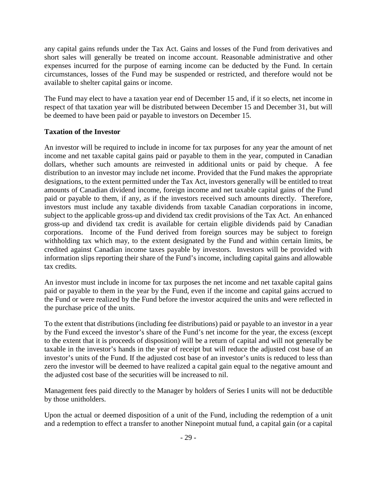any capital gains refunds under the Tax Act. Gains and losses of the Fund from derivatives and short sales will generally be treated on income account. Reasonable administrative and other expenses incurred for the purpose of earning income can be deducted by the Fund. In certain circumstances, losses of the Fund may be suspended or restricted, and therefore would not be available to shelter capital gains or income.

The Fund may elect to have a taxation year end of December 15 and, if it so elects, net income in respect of that taxation year will be distributed between December 15 and December 31, but will be deemed to have been paid or payable to investors on December 15.

# **Taxation of the Investor**

An investor will be required to include in income for tax purposes for any year the amount of net income and net taxable capital gains paid or payable to them in the year, computed in Canadian dollars, whether such amounts are reinvested in additional units or paid by cheque. A fee distribution to an investor may include net income. Provided that the Fund makes the appropriate designations, to the extent permitted under the Tax Act, investors generally will be entitled to treat amounts of Canadian dividend income, foreign income and net taxable capital gains of the Fund paid or payable to them, if any, as if the investors received such amounts directly. Therefore, investors must include any taxable dividends from taxable Canadian corporations in income, subject to the applicable gross-up and dividend tax credit provisions of the Tax Act. An enhanced gross-up and dividend tax credit is available for certain eligible dividends paid by Canadian corporations. Income of the Fund derived from foreign sources may be subject to foreign withholding tax which may, to the extent designated by the Fund and within certain limits, be credited against Canadian income taxes payable by investors. Investors will be provided with information slips reporting their share of the Fund's income, including capital gains and allowable tax credits.

An investor must include in income for tax purposes the net income and net taxable capital gains paid or payable to them in the year by the Fund, even if the income and capital gains accrued to the Fund or were realized by the Fund before the investor acquired the units and were reflected in the purchase price of the units.

To the extent that distributions (including fee distributions) paid or payable to an investor in a year by the Fund exceed the investor's share of the Fund's net income for the year, the excess (except to the extent that it is proceeds of disposition) will be a return of capital and will not generally be taxable in the investor's hands in the year of receipt but will reduce the adjusted cost base of an investor's units of the Fund. If the adjusted cost base of an investor's units is reduced to less than zero the investor will be deemed to have realized a capital gain equal to the negative amount and the adjusted cost base of the securities will be increased to nil.

Management fees paid directly to the Manager by holders of Series I units will not be deductible by those unitholders.

Upon the actual or deemed disposition of a unit of the Fund, including the redemption of a unit and a redemption to effect a transfer to another Ninepoint mutual fund, a capital gain (or a capital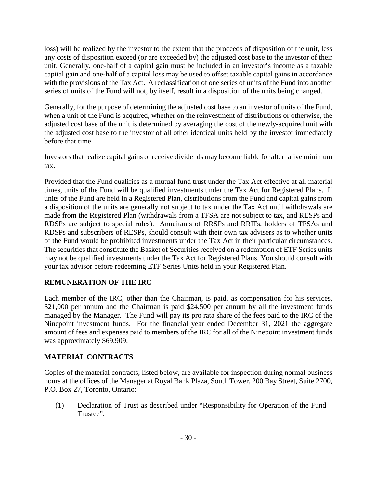loss) will be realized by the investor to the extent that the proceeds of disposition of the unit, less any costs of disposition exceed (or are exceeded by) the adjusted cost base to the investor of their unit. Generally, one-half of a capital gain must be included in an investor's income as a taxable capital gain and one-half of a capital loss may be used to offset taxable capital gains in accordance with the provisions of the Tax Act. A reclassification of one series of units of the Fund into another series of units of the Fund will not, by itself, result in a disposition of the units being changed.

Generally, for the purpose of determining the adjusted cost base to an investor of units of the Fund, when a unit of the Fund is acquired, whether on the reinvestment of distributions or otherwise, the adjusted cost base of the unit is determined by averaging the cost of the newly-acquired unit with the adjusted cost base to the investor of all other identical units held by the investor immediately before that time.

Investors that realize capital gains or receive dividends may become liable for alternative minimum tax.

Provided that the Fund qualifies as a mutual fund trust under the Tax Act effective at all material times, units of the Fund will be qualified investments under the Tax Act for Registered Plans. If units of the Fund are held in a Registered Plan, distributions from the Fund and capital gains from a disposition of the units are generally not subject to tax under the Tax Act until withdrawals are made from the Registered Plan (withdrawals from a TFSA are not subject to tax, and RESPs and RDSPs are subject to special rules). Annuitants of RRSPs and RRIFs, holders of TFSAs and RDSPs and subscribers of RESPs, should consult with their own tax advisers as to whether units of the Fund would be prohibited investments under the Tax Act in their particular circumstances. The securities that constitute the Basket of Securities received on a redemption of ETF Series units may not be qualified investments under the Tax Act for Registered Plans. You should consult with your tax advisor before redeeming ETF Series Units held in your Registered Plan.

# **REMUNERATION OF THE IRC**

Each member of the IRC, other than the Chairman, is paid, as compensation for his services, \$21,000 per annum and the Chairman is paid \$24,500 per annum by all the investment funds managed by the Manager. The Fund will pay its pro rata share of the fees paid to the IRC of the Ninepoint investment funds. For the financial year ended December 31, 2021 the aggregate amount of fees and expenses paid to members of the IRC for all of the Ninepoint investment funds was approximately \$69,909.

# **MATERIAL CONTRACTS**

Copies of the material contracts, listed below, are available for inspection during normal business hours at the offices of the Manager at Royal Bank Plaza, South Tower, 200 Bay Street, Suite 2700, P.O. Box 27, Toronto, Ontario:

(1) Declaration of Trust as described under "Responsibility for Operation of the Fund – Trustee".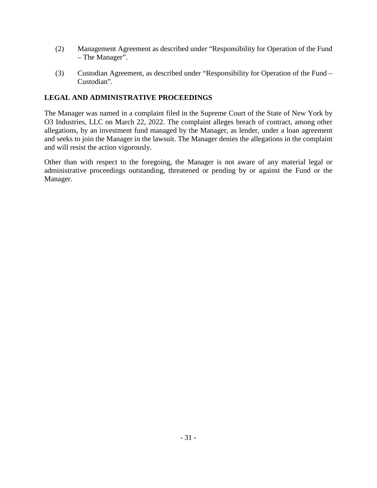- (2) Management Agreement as described under "Responsibility for Operation of the Fund – The Manager".
- (3) Custodian Agreement, as described under "Responsibility for Operation of the Fund Custodian".

# **LEGAL AND ADMINISTRATIVE PROCEEDINGS**

The Manager was named in a complaint filed in the Supreme Court of the State of New York by O3 Industries, LLC on March 22, 2022. The complaint alleges breach of contract, among other allegations, by an investment fund managed by the Manager, as lender, under a loan agreement and seeks to join the Manager in the lawsuit. The Manager denies the allegations in the complaint and will resist the action vigorously.

Other than with respect to the foregoing, the Manager is not aware of any material legal or administrative proceedings outstanding, threatened or pending by or against the Fund or the Manager.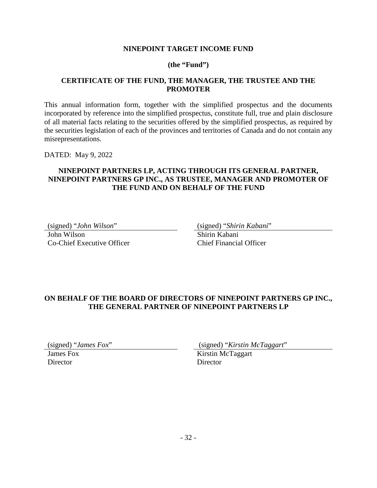### **NINEPOINT TARGET INCOME FUND**

### **(the "Fund")**

#### **CERTIFICATE OF THE FUND, THE MANAGER, THE TRUSTEE AND THE PROMOTER**

This annual information form, together with the simplified prospectus and the documents incorporated by reference into the simplified prospectus, constitute full, true and plain disclosure of all material facts relating to the securities offered by the simplified prospectus, as required by the securities legislation of each of the provinces and territories of Canada and do not contain any misrepresentations.

DATED: May 9, 2022

# **NINEPOINT PARTNERS LP, ACTING THROUGH ITS GENERAL PARTNER, NINEPOINT PARTNERS GP INC., AS TRUSTEE, MANAGER AND PROMOTER OF THE FUND AND ON BEHALF OF THE FUND**

John Wilson Co-Chief Executive Officer

(signed) "*John Wilson*" (signed) "*Shirin Kabani*"

Shirin Kabani Chief Financial Officer

# **ON BEHALF OF THE BOARD OF DIRECTORS OF NINEPOINT PARTNERS GP INC., THE GENERAL PARTNER OF NINEPOINT PARTNERS LP**

James Fox **Director** 

(signed) "*James Fox*" (signed) "*Kirstin McTaggart*"

Kirstin McTaggart **Director**